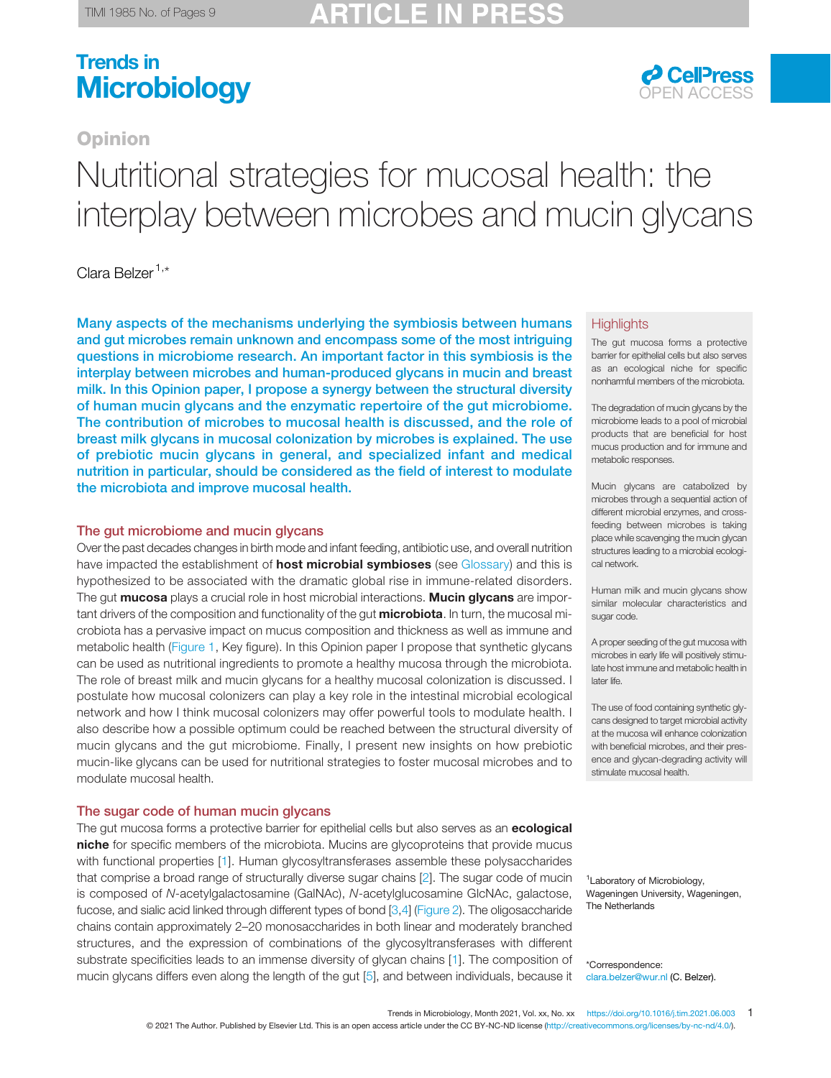## CI E

# Trends in Microbiology **OPEN ACCESS**

#### **Opinion**

# Nutritional strategies for mucosal health: the interplay between microbes and mucin glycans

#### Clara Belzer<sup>1,\*</sup>

Many aspects of the mechanisms underlying the symbiosis between humans and gut microbes remain unknown and encompass some of the most intriguing questions in microbiome research. An important factor in this symbiosis is the interplay between microbes and human-produced glycans in mucin and breast milk. In this Opinion paper, I propose a synergy between the structural diversity of human mucin glycans and the enzymatic repertoire of the gut microbiome. The contribution of microbes to mucosal health is discussed, and the role of breast milk glycans in mucosal colonization by microbes is explained. The use of prebiotic mucin glycans in general, and specialized infant and medical nutrition in particular, should be considered as the field of interest to modulate the microbiota and improve mucosal health.

#### The gut microbiome and mucin glycans

Over the past decades changes in birth mode and infant feeding, antibiotic use, and overall nutrition have impacted the establishment of **host microbial symbioses** (see [Glossary](#page-1-0)) and this is hypothesized to be associated with the dramatic global rise in immune-related disorders. The gut mucosa plays a crucial role in host microbial interactions. Mucin glycans are important drivers of the composition and functionality of the gut **microbiota**. In turn, the mucosal microbiota has a pervasive impact on mucus composition and thickness as well as immune and metabolic health ([Figure 1](#page-3-0), Key figure). In this Opinion paper I propose that synthetic glycans can be used as nutritional ingredients to promote a healthy mucosa through the microbiota. The role of breast milk and mucin glycans for a healthy mucosal colonization is discussed. I postulate how mucosal colonizers can play a key role in the intestinal microbial ecological network and how I think mucosal colonizers may offer powerful tools to modulate health. I also describe how a possible optimum could be reached between the structural diversity of mucin glycans and the gut microbiome. Finally, I present new insights on how prebiotic mucin-like glycans can be used for nutritional strategies to foster mucosal microbes and to modulate mucosal health.

#### The sugar code of human mucin glycans

The gut mucosa forms a protective barrier for epithelial cells but also serves as an **ecological** niche for specific members of the microbiota. Mucins are glycoproteins that provide mucus with functional properties [[1\]](#page-7-0). Human glycosyltransferases assemble these polysaccharides that comprise a broad range of structurally diverse sugar chains [[2\]](#page-7-0). The sugar code of mucin is composed of N-acetylgalactosamine (GalNAc), N-acetylglucosamine GlcNAc, galactose, fucose, and sialic acid linked through different types of bond [\[3](#page-7-0),[4\]](#page-7-0) ([Figure 2](#page-4-0)). The oligosaccharide chains contain approximately 2–20 monosaccharides in both linear and moderately branched structures, and the expression of combinations of the glycosyltransferases with different substrate specificities leads to an immense diversity of glycan chains [[1](#page-7-0)]. The composition of mucin glycans differs even along the length of the gut [[5\]](#page-7-0), and between individuals, because it

#### **Highlights**

The gut mucosa forms a protective barrier for epithelial cells but also serves as an ecological niche for specific nonharmful members of the microbiota.

The degradation of mucin glycans by the microbiome leads to a pool of microbial products that are beneficial for host mucus production and for immune and metabolic responses.

Mucin glycans are catabolized by microbes through a sequential action of different microbial enzymes, and crossfeeding between microbes is taking place while scavenging the mucin glycan structures leading to a microbial ecological network.

Human milk and mucin glycans show similar molecular characteristics and sugar code.

A proper seeding of the gut mucosa with microbes in early life will positively stimulate host immune and metabolic health in later life.

The use of food containing synthetic glycans designed to target microbial activity at the mucosa will enhance colonization with beneficial microbes, and their presence and glycan-degrading activity will stimulate mucosal health.

1 Laboratory of Microbiology, Wageningen University, Wageningen, The Netherlands

\*Correspondence: clara.belzer@wur.nl (C. Belzer).

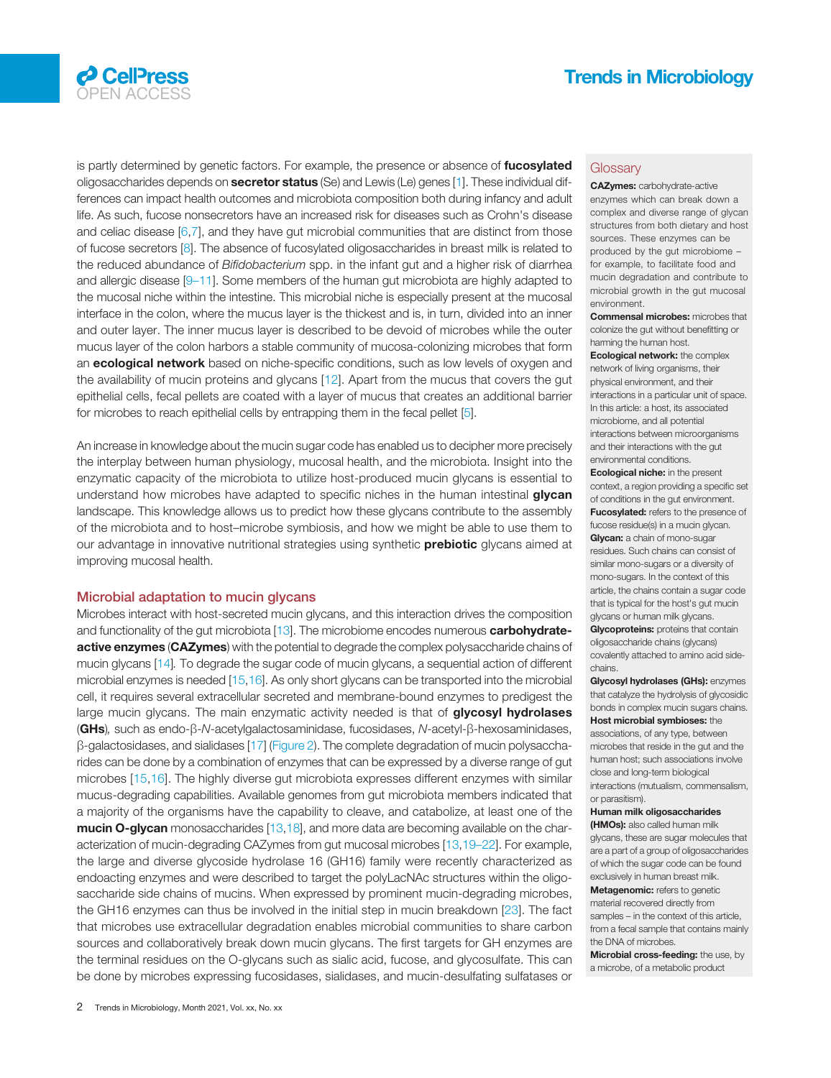

<span id="page-1-0"></span>

is partly determined by genetic factors. For example, the presence or absence of fucosylated oligosaccharides depends on **secretor status** (Se) and Lewis (Le) genes [[1\]](#page-7-0). These individual differences can impact health outcomes and microbiota composition both during infancy and adult life. As such, fucose nonsecretors have an increased risk for diseases such as Crohn's disease and celiac disease [\[6](#page-7-0),[7\]](#page-7-0), and they have gut microbial communities that are distinct from those of fucose secretors [\[8](#page-7-0)]. The absence of fucosylated oligosaccharides in breast milk is related to the reduced abundance of Bifidobacterium spp. in the infant gut and a higher risk of diarrhea and allergic disease [9–[11](#page-7-0)]. Some members of the human gut microbiota are highly adapted to the mucosal niche within the intestine. This microbial niche is especially present at the mucosal interface in the colon, where the mucus layer is the thickest and is, in turn, divided into an inner and outer layer. The inner mucus layer is described to be devoid of microbes while the outer mucus layer of the colon harbors a stable community of mucosa-colonizing microbes that form an **ecological network** based on niche-specific conditions, such as low levels of oxygen and the availability of mucin proteins and glycans [\[12\]](#page-7-0). Apart from the mucus that covers the gut epithelial cells, fecal pellets are coated with a layer of mucus that creates an additional barrier for microbes to reach epithelial cells by entrapping them in the fecal pellet [[5\]](#page-7-0).

An increase in knowledge about the mucin sugar code has enabled us to decipher more precisely the interplay between human physiology, mucosal health, and the microbiota. Insight into the enzymatic capacity of the microbiota to utilize host-produced mucin glycans is essential to understand how microbes have adapted to specific niches in the human intestinal glycan landscape. This knowledge allows us to predict how these glycans contribute to the assembly of the microbiota and to host–microbe symbiosis, and how we might be able to use them to our advantage in innovative nutritional strategies using synthetic **prebiotic** glycans aimed at improving mucosal health.

#### Microbial adaptation to mucin glycans

Microbes interact with host-secreted mucin glycans, and this interaction drives the composition and functionality of the gut microbiota [[13\]](#page-7-0). The microbiome encodes numerous carbohydrateactive enzymes (CAZymes) with the potential to degrade the complex polysaccharide chains of mucin glycans [\[14\]](#page-7-0). To degrade the sugar code of mucin glycans, a sequential action of different microbial enzymes is needed [\[15,16](#page-7-0)]. As only short glycans can be transported into the microbial cell, it requires several extracellular secreted and membrane-bound enzymes to predigest the large mucin glycans. The main enzymatic activity needed is that of glycosyl hydrolases (GHs), such as endo-β-N-acetylgalactosaminidase, fucosidases, N-acetyl-β-hexosaminidases, β-galactosidases, and sialidases [[17](#page-7-0)] ([Figure 2\)](#page-4-0). The complete degradation of mucin polysaccharides can be done by a combination of enzymes that can be expressed by a diverse range of gut microbes [[15,16\]](#page-7-0). The highly diverse gut microbiota expresses different enzymes with similar mucus-degrading capabilities. Available genomes from gut microbiota members indicated that a majority of the organisms have the capability to cleave, and catabolize, at least one of the mucin O-glycan monosaccharides [[13,18\]](#page-7-0), and more data are becoming available on the characterization of mucin-degrading CAZymes from gut mucosal microbes [\[13](#page-7-0),19–[22\]](#page-7-0). For example, the large and diverse glycoside hydrolase 16 (GH16) family were recently characterized as endoacting enzymes and were described to target the polyLacNAc structures within the oligosaccharide side chains of mucins. When expressed by prominent mucin-degrading microbes, the GH16 enzymes can thus be involved in the initial step in mucin breakdown [\[23](#page-7-0)]. The fact that microbes use extracellular degradation enables microbial communities to share carbon sources and collaboratively break down mucin glycans. The first targets for GH enzymes are the terminal residues on the O-glycans such as sialic acid, fucose, and glycosulfate. This can be done by microbes expressing fucosidases, sialidases, and mucin-desulfating sulfatases or

#### **Glossary**

CAZymes: carbohydrate-active enzymes which can break down a complex and diverse range of glycan structures from both dietary and host sources. These enzymes can be produced by the gut microbiome – for example, to facilitate food and mucin degradation and contribute to microbial growth in the gut mucosal environment.

Commensal microbes: microbes that colonize the gut without benefitting or harming the human host.

Ecological network: the complex network of living organisms, their physical environment, and their interactions in a particular unit of space. In this article: a host, its associated microbiome, and all potential interactions between microorganisms and their interactions with the gut environmental conditions.

Ecological niche: in the present context, a region providing a specific set of conditions in the gut environment. **Fucosylated:** refers to the presence of fucose residue(s) in a mucin glycan. Glycan: a chain of mono-sugar residues. Such chains can consist of similar mono-sugars or a diversity of mono-sugars. In the context of this article, the chains contain a sugar code that is typical for the host's gut mucin glycans or human milk glycans. **Glycoproteins:** proteins that contain

oligosaccharide chains (glycans) covalently attached to amino acid sidechains.

Glycosyl hydrolases (GHs): enzymes that catalyze the hydrolysis of glycosidic bonds in complex mucin sugars chains. Host microbial symbioses: the associations, of any type, between microbes that reside in the gut and the human host; such associations involve close and long-term biological interactions (mutualism, commensalism, or parasitism).

#### Human milk oligosaccharides (HMOs): also called human milk

glycans, these are sugar molecules that are a part of a group of oligosaccharides of which the sugar code can be found exclusively in human breast milk. Metagenomic: refers to genetic material recovered directly from samples – in the context of this article, from a fecal sample that contains mainly the DNA of microbes.

Microbial cross-feeding: the use, by a microbe, of a metabolic product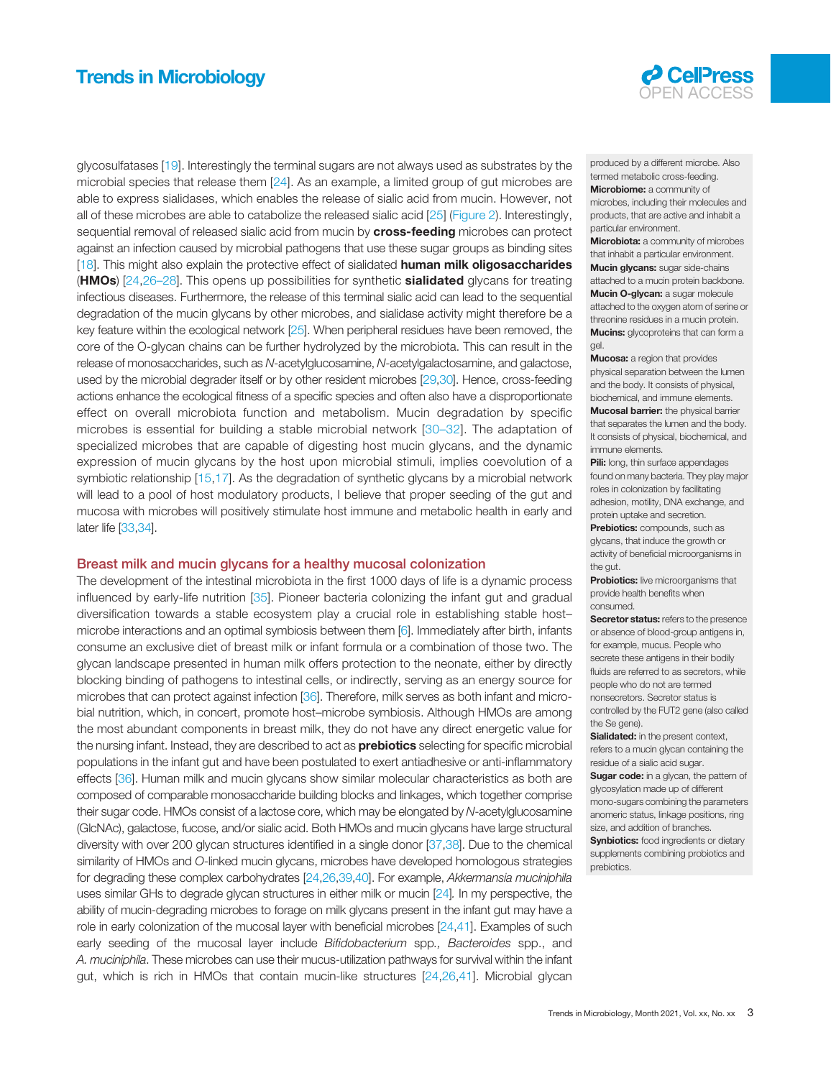#### Trends in Microbiology **OPEN ACCESS CONSTRUCTER CONSTRUCTER CONSTRUCTER CONSTRUCTER**



glycosulfatases [\[19](#page-7-0)]. Interestingly the terminal sugars are not always used as substrates by the microbial species that release them [\[24\]](#page-7-0). As an example, a limited group of gut microbes are able to express sialidases, which enables the release of sialic acid from mucin. However, not all of these microbes are able to catabolize the released sialic acid [[25\]](#page-7-0) ([Figure 2\)](#page-4-0). Interestingly, sequential removal of released sialic acid from mucin by cross-feeding microbes can protect against an infection caused by microbial pathogens that use these sugar groups as binding sites [[18\]](#page-7-0). This might also explain the protective effect of sialidated **human milk oligosaccharides** (**HMOs**) [\[24](#page-7-0),26–[28](#page-7-0)]. This opens up possibilities for synthetic **sialidated** glycans for treating infectious diseases. Furthermore, the release of this terminal sialic acid can lead to the sequential degradation of the mucin glycans by other microbes, and sialidase activity might therefore be a key feature within the ecological network [\[25\]](#page-7-0). When peripheral residues have been removed, the core of the O-glycan chains can be further hydrolyzed by the microbiota. This can result in the release of monosaccharides, such as N-acetylglucosamine, N-acetylgalactosamine, and galactose, used by the microbial degrader itself or by other resident microbes [\[29,30\]](#page-7-0). Hence, cross-feeding actions enhance the ecological fitness of a specific species and often also have a disproportionate effect on overall microbiota function and metabolism. Mucin degradation by specific microbes is essential for building a stable microbial network [30–[32](#page-7-0)]. The adaptation of specialized microbes that are capable of digesting host mucin glycans, and the dynamic expression of mucin glycans by the host upon microbial stimuli, implies coevolution of a symbiotic relationship [[15,17](#page-7-0)]. As the degradation of synthetic glycans by a microbial network will lead to a pool of host modulatory products, I believe that proper seeding of the gut and mucosa with microbes will positively stimulate host immune and metabolic health in early and later life [\[33,34\]](#page-7-0).

#### Breast milk and mucin glycans for a healthy mucosal colonization

The development of the intestinal microbiota in the first 1000 days of life is a dynamic process influenced by early-life nutrition [[35](#page-7-0)]. Pioneer bacteria colonizing the infant gut and gradual diversification towards a stable ecosystem play a crucial role in establishing stable host– microbe interactions and an optimal symbiosis between them [\[6\]](#page-7-0). Immediately after birth, infants consume an exclusive diet of breast milk or infant formula or a combination of those two. The glycan landscape presented in human milk offers protection to the neonate, either by directly blocking binding of pathogens to intestinal cells, or indirectly, serving as an energy source for microbes that can protect against infection [\[36](#page-7-0)]. Therefore, milk serves as both infant and microbial nutrition, which, in concert, promote host–microbe symbiosis. Although HMOs are among the most abundant components in breast milk, they do not have any direct energetic value for the nursing infant. Instead, they are described to act as **prebiotics** selecting for specific microbial populations in the infant gut and have been postulated to exert antiadhesive or anti-inflammatory effects [[36\]](#page-7-0). Human milk and mucin glycans show similar molecular characteristics as both are composed of comparable monosaccharide building blocks and linkages, which together comprise their sugar code. HMOs consist of a lactose core, which may be elongated by N-acetylglucosamine (GlcNAc), galactose, fucose, and/or sialic acid. Both HMOs and mucin glycans have large structural diversity with over 200 glycan structures identified in a single donor [\[37](#page-7-0),[38](#page-7-0)]. Due to the chemical similarity of HMOs and O-linked mucin glycans, microbes have developed homologous strategies for degrading these complex carbohydrates [\[24,26,39,40\]](#page-7-0). For example, Akkermansia muciniphila uses similar GHs to degrade glycan structures in either milk or mucin [\[24](#page-7-0)]. In my perspective, the ability of mucin-degrading microbes to forage on milk glycans present in the infant gut may have a role in early colonization of the mucosal layer with beneficial microbes [[24](#page-7-0),[41\]](#page-7-0). Examples of such early seeding of the mucosal layer include Bifidobacterium spp., Bacteroides spp., and A. muciniphila. These microbes can use their mucus-utilization pathways for survival within the infant gut, which is rich in HMOs that contain mucin-like structures [[24,26,41](#page-7-0)]. Microbial glycan

produced by a different microbe. Also termed metabolic cross-feeding. Microbiome: a community of microbes, including their molecules and products, that are active and inhabit a

particular environment. **Microbiota:** a community of microbes that inhabit a particular environment. Mucin glycans: sugar side-chains attached to a mucin protein backbone. Mucin O-glycan: a sugar molecule attached to the oxygen atom of serine or threonine residues in a mucin protein. **Mucins:** glycoproteins that can form a gel.

Mucosa: a region that provides physical separation between the lumen and the body. It consists of physical, biochemical, and immune elements. **Mucosal barrier:** the physical barrier that separates the lumen and the body. It consists of physical, biochemical, and immune elements.

Pili: long, thin surface appendages found on many bacteria. They play major roles in colonization by facilitating adhesion, motility, DNA exchange, and protein uptake and secretion.

Prebiotics: compounds, such as glycans, that induce the growth or activity of beneficial microorganisms in the gut.

**Probiotics:** live microorganisms that provide health benefits when consumed.

Secretor status: refers to the presence or absence of blood-group antigens in, for example, mucus. People who secrete these antigens in their bodily fluids are referred to as secretors, while people who do not are termed nonsecretors. Secretor status is controlled by the FUT2 gene (also called the Se gene).

Sialidated: in the present context, refers to a mucin glycan containing the residue of a sialic acid sugar.

Sugar code: in a glycan, the pattern of glycosylation made up of different mono-sugars combining the parameters anomeric status, linkage positions, ring size, and addition of branches.

**Synbiotics:** food ingredients or dietary supplements combining probiotics and prebiotics.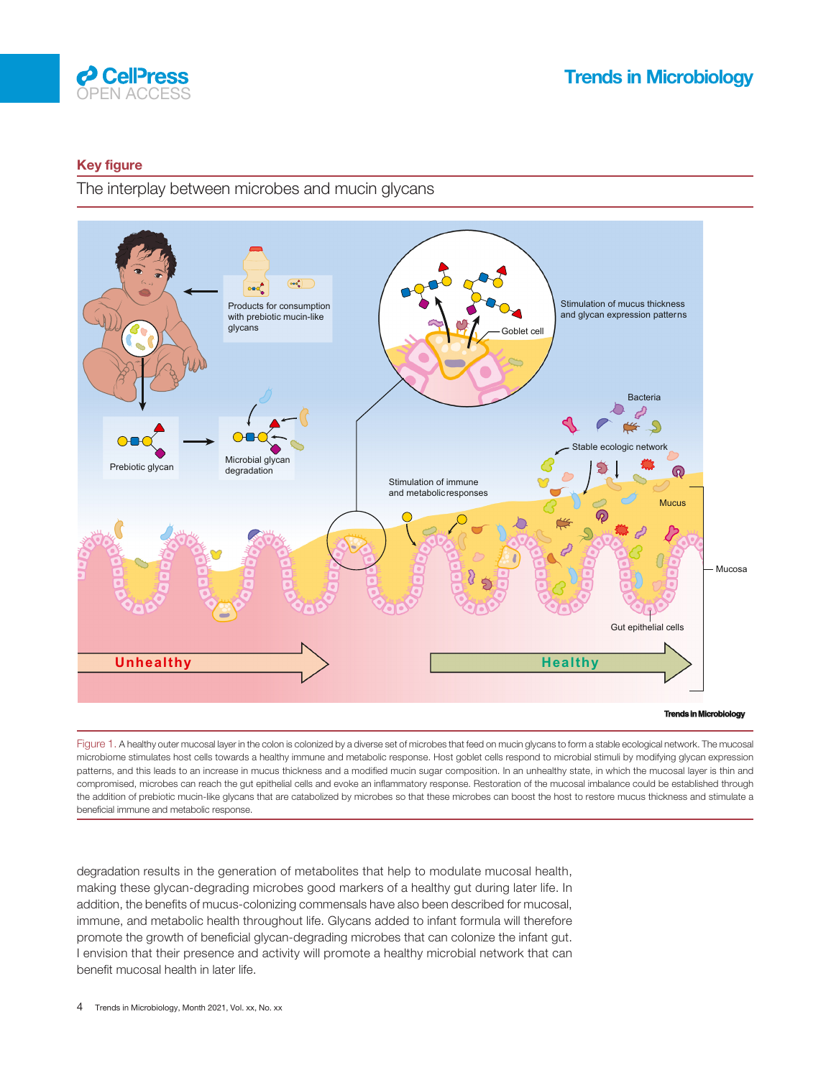<span id="page-3-0"></span>

#### Key figure

The interplay between microbes and mucin glycans



Figure 1. A healthy outer mucosal layer in the colon is colonized by a diverse set of microbes that feed on mucin glycans to form a stable ecological network. The mucosal microbiome stimulates host cells towards a healthy immune and metabolic response. Host goblet cells respond to microbial stimuli by modifying glycan expression patterns, and this leads to an increase in mucus thickness and a modified mucin sugar composition. In an unhealthy state, in which the mucosal layer is thin and compromised, microbes can reach the gut epithelial cells and evoke an inflammatory response. Restoration of the mucosal imbalance could be established through the addition of prebiotic mucin-like glycans that are catabolized by microbes so that these microbes can boost the host to restore mucus thickness and stimulate a beneficial immune and metabolic response.

degradation results in the generation of metabolites that help to modulate mucosal health, making these glycan-degrading microbes good markers of a healthy gut during later life. In addition, the benefits of mucus-colonizing commensals have also been described for mucosal, immune, and metabolic health throughout life. Glycans added to infant formula will therefore promote the growth of beneficial glycan-degrading microbes that can colonize the infant gut. I envision that their presence and activity will promote a healthy microbial network that can benefit mucosal health in later life.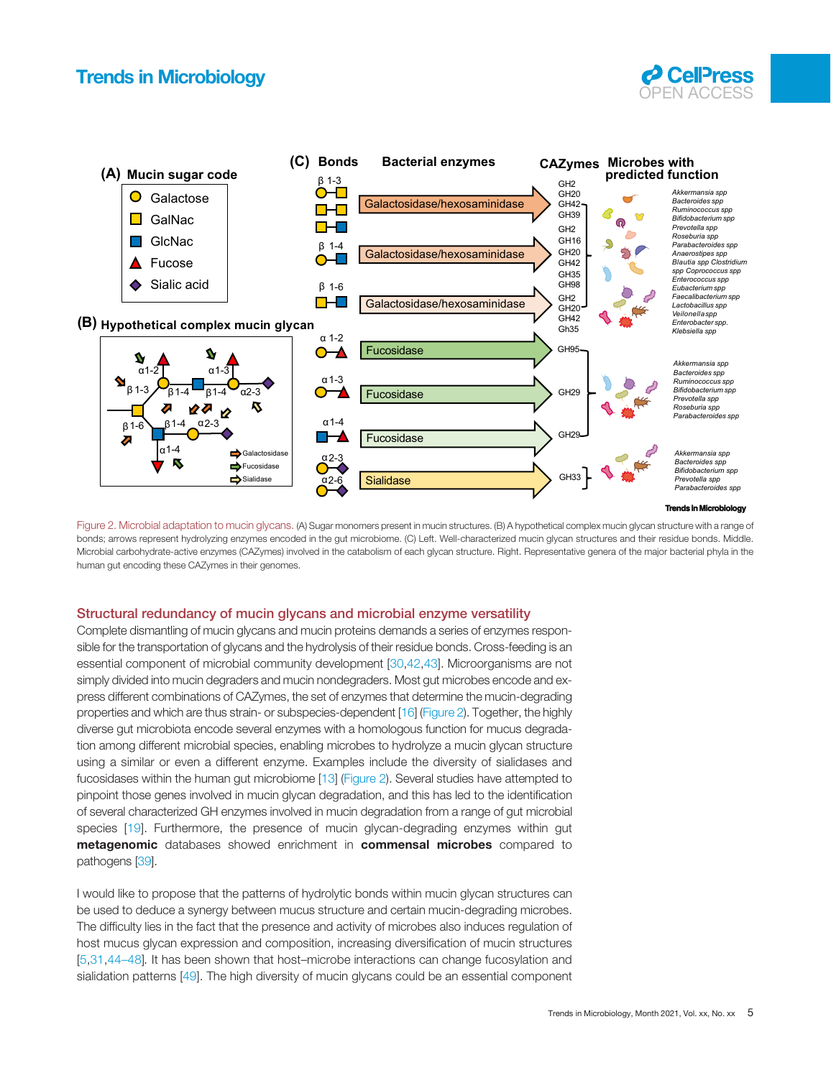### <span id="page-4-0"></span>**Trends in Microbiology**





Figure 2. Microbial adaptation to mucin glycans. (A) Sugar monomers present in mucin structures. (B) A hypothetical complex mucin glycan structure with a range of bonds; arrows represent hydrolyzing enzymes encoded in the gut microbiome. (C) Left. Well-characterized mucin glycan structures and their residue bonds. Middle. Microbial carbohydrate-active enzymes (CAZymes) involved in the catabolism of each glycan structure. Right. Representative genera of the major bacterial phyla in the human gut encoding these CAZymes in their genomes.

#### Structural redundancy of mucin glycans and microbial enzyme versatility

Complete dismantling of mucin glycans and mucin proteins demands a series of enzymes responsible for the transportation of glycans and the hydrolysis of their residue bonds. Cross-feeding is an essential component of microbial community development [\[30](#page-7-0),[42](#page-8-0),[43\]](#page-8-0). Microorganisms are not simply divided into mucin degraders and mucin nondegraders. Most gut microbes encode and express different combinations of CAZymes, the set of enzymes that determine the mucin-degrading properties and which are thus strain- or subspecies-dependent [\[16\]](#page-7-0) (Figure 2). Together, the highly diverse gut microbiota encode several enzymes with a homologous function for mucus degradation among different microbial species, enabling microbes to hydrolyze a mucin glycan structure using a similar or even a different enzyme. Examples include the diversity of sialidases and fucosidases within the human gut microbiome [\[13](#page-7-0)] (Figure 2). Several studies have attempted to pinpoint those genes involved in mucin glycan degradation, and this has led to the identification of several characterized GH enzymes involved in mucin degradation from a range of gut microbial species [\[19](#page-7-0)]. Furthermore, the presence of mucin glycan-degrading enzymes within gut metagenomic databases showed enrichment in commensal microbes compared to pathogens [\[39\]](#page-7-0).

I would like to propose that the patterns of hydrolytic bonds within mucin glycan structures can be used to deduce a synergy between mucus structure and certain mucin-degrading microbes. The difficulty lies in the fact that the presence and activity of microbes also induces regulation of host mucus glycan expression and composition, increasing diversification of mucin structures [[5](#page-7-0),[31,](#page-7-0)44–[48\]](#page-8-0). It has been shown that host–microbe interactions can change fucosylation and sialidation patterns [[49\]](#page-8-0). The high diversity of mucin glycans could be an essential component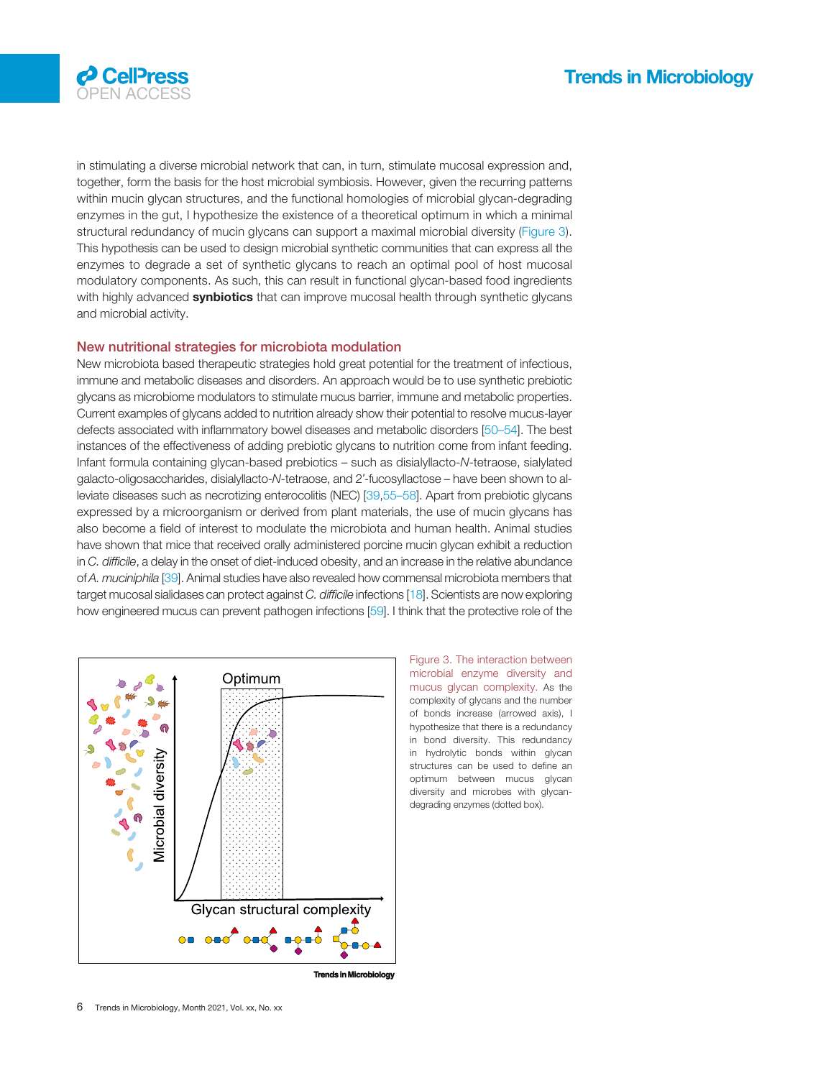

in stimulating a diverse microbial network that can, in turn, stimulate mucosal expression and, together, form the basis for the host microbial symbiosis. However, given the recurring patterns within mucin glycan structures, and the functional homologies of microbial glycan-degrading enzymes in the gut, I hypothesize the existence of a theoretical optimum in which a minimal structural redundancy of mucin glycans can support a maximal microbial diversity (Figure 3). This hypothesis can be used to design microbial synthetic communities that can express all the enzymes to degrade a set of synthetic glycans to reach an optimal pool of host mucosal modulatory components. As such, this can result in functional glycan-based food ingredients with highly advanced synbiotics that can improve mucosal health through synthetic glycans and microbial activity.

#### New nutritional strategies for microbiota modulation

New microbiota based therapeutic strategies hold great potential for the treatment of infectious, immune and metabolic diseases and disorders. An approach would be to use synthetic prebiotic glycans as microbiome modulators to stimulate mucus barrier, immune and metabolic properties. Current examples of glycans added to nutrition already show their potential to resolve mucus-layer defects associated with inflammatory bowel diseases and metabolic disorders [50–[54\]](#page-8-0). The best instances of the effectiveness of adding prebiotic glycans to nutrition come from infant feeding. Infant formula containing glycan-based prebiotics – such as disialyllacto-N-tetraose, sialylated galacto-oligosaccharides, disialyllacto-N-tetraose, and 2′-fucosyllactose – have been shown to alleviate diseases such as necrotizing enterocolitis (NEC) [[39,](#page-7-0)[55](#page-8-0)–58]. Apart from prebiotic glycans expressed by a microorganism or derived from plant materials, the use of mucin glycans has also become a field of interest to modulate the microbiota and human health. Animal studies have shown that mice that received orally administered porcine mucin glycan exhibit a reduction in C. difficile, a delay in the onset of diet-induced obesity, and an increase in the relative abundance of A. muciniphila [\[39](#page-7-0)]. Animal studies have also revealed how commensal microbiota members that target mucosal sialidases can protect against C. difficile infections [\[18\]](#page-7-0). Scientists are now exploring how engineered mucus can prevent pathogen infections [[59](#page-8-0)]. I think that the protective role of the



Figure 3. The interaction between microbial enzyme diversity and mucus glycan complexity. As the complexity of glycans and the number of bonds increase (arrowed axis), I hypothesize that there is a redundancy in bond diversity. This redundancy in hydrolytic bonds within glycan structures can be used to define an optimum between mucus glycan diversity and microbes with glycandegrading enzymes (dotted box).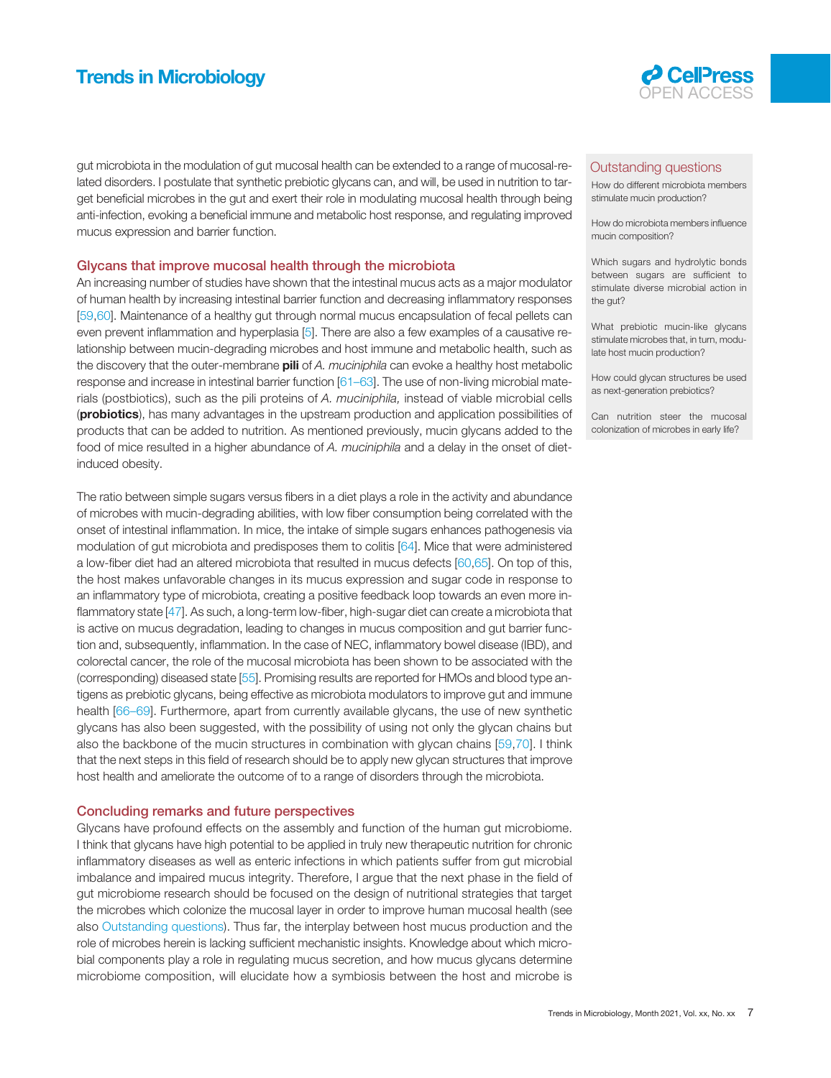### **Trends in Microbiology**



gut microbiota in the modulation of gut mucosal health can be extended to a range of mucosal-related disorders. I postulate that synthetic prebiotic glycans can, and will, be used in nutrition to target beneficial microbes in the gut and exert their role in modulating mucosal health through being anti-infection, evoking a beneficial immune and metabolic host response, and regulating improved mucus expression and barrier function.

#### Glycans that improve mucosal health through the microbiota

An increasing number of studies have shown that the intestinal mucus acts as a major modulator of human health by increasing intestinal barrier function and decreasing inflammatory responses [[59,60](#page-8-0)]. Maintenance of a healthy gut through normal mucus encapsulation of fecal pellets can even prevent inflammation and hyperplasia [\[5](#page-7-0)]. There are also a few examples of a causative relationship between mucin-degrading microbes and host immune and metabolic health, such as the discovery that the outer-membrane pili of A. muciniphila can evoke a healthy host metabolic response and increase in intestinal barrier function [[61](#page-8-0)–63]. The use of non-living microbial materials (postbiotics), such as the pili proteins of A. muciniphila, instead of viable microbial cells (probiotics), has many advantages in the upstream production and application possibilities of products that can be added to nutrition. As mentioned previously, mucin glycans added to the food of mice resulted in a higher abundance of A. muciniphila and a delay in the onset of dietinduced obesity.

The ratio between simple sugars versus fibers in a diet plays a role in the activity and abundance of microbes with mucin-degrading abilities, with low fiber consumption being correlated with the onset of intestinal inflammation. In mice, the intake of simple sugars enhances pathogenesis via modulation of gut microbiota and predisposes them to colitis [[64\]](#page-8-0). Mice that were administered a low-fiber diet had an altered microbiota that resulted in mucus defects [\[60](#page-8-0),[65](#page-8-0)]. On top of this, the host makes unfavorable changes in its mucus expression and sugar code in response to an inflammatory type of microbiota, creating a positive feedback loop towards an even more inflammatory state [\[47\]](#page-8-0). As such, a long-term low-fiber, high-sugar diet can create a microbiota that is active on mucus degradation, leading to changes in mucus composition and gut barrier function and, subsequently, inflammation. In the case of NEC, inflammatory bowel disease (IBD), and colorectal cancer, the role of the mucosal microbiota has been shown to be associated with the (corresponding) diseased state [[55](#page-8-0)]. Promising results are reported for HMOs and blood type antigens as prebiotic glycans, being effective as microbiota modulators to improve gut and immune health [\[66](#page-8-0)–69]. Furthermore, apart from currently available glycans, the use of new synthetic glycans has also been suggested, with the possibility of using not only the glycan chains but also the backbone of the mucin structures in combination with glycan chains [[59,70\]](#page-8-0). I think that the next steps in this field of research should be to apply new glycan structures that improve host health and ameliorate the outcome of to a range of disorders through the microbiota.

#### Concluding remarks and future perspectives

Glycans have profound effects on the assembly and function of the human gut microbiome. I think that glycans have high potential to be applied in truly new therapeutic nutrition for chronic inflammatory diseases as well as enteric infections in which patients suffer from gut microbial imbalance and impaired mucus integrity. Therefore, I argue that the next phase in the field of gut microbiome research should be focused on the design of nutritional strategies that target the microbes which colonize the mucosal layer in order to improve human mucosal health (see also Outstanding questions). Thus far, the interplay between host mucus production and the role of microbes herein is lacking sufficient mechanistic insights. Knowledge about which microbial components play a role in regulating mucus secretion, and how mucus glycans determine microbiome composition, will elucidate how a symbiosis between the host and microbe is

#### Outstanding questions

How do different microbiota members stimulate mucin production?

How do microbiota members influence mucin composition?

Which sugars and hydrolytic bonds between sugars are sufficient to stimulate diverse microbial action in the gut?

What prebiotic mucin-like glycans stimulate microbes that, in turn, modulate host mucin production?

How could glycan structures be used as next-generation prebiotics?

Can nutrition steer the mucosal colonization of microbes in early life?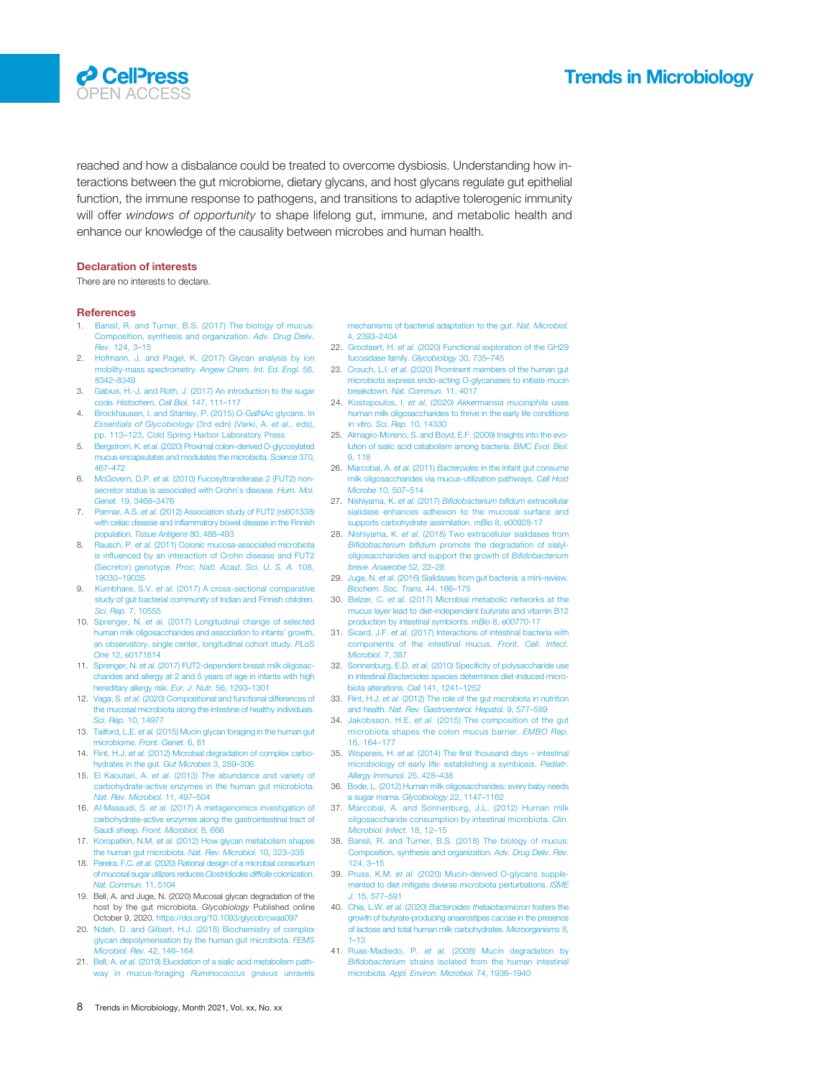#### <span id="page-7-0"></span>**P** CelPress OPEN ACCESS

reached and how a disbalance could be treated to overcome dysbiosis. Understanding how interactions between the gut microbiome, dietary glycans, and host glycans regulate gut epithelial function, the immune response to pathogens, and transitions to adaptive tolerogenic immunity will offer windows of opportunity to shape lifelong gut, immune, and metabolic health and enhance our knowledge of the causality between microbes and human health.

#### Declaration of interests

There are no interests to declare.

#### **References**

- 1. [Bansil, R. and Turner, B.S. \(2017\) The biology of mucus:](http://refhub.elsevier.com/S0966-842X(21)00135-9/rf0005) [Composition, synthesis and organization.](http://refhub.elsevier.com/S0966-842X(21)00135-9/rf0005) Adv. Drug Deliv. Rev. [124, 3](http://refhub.elsevier.com/S0966-842X(21)00135-9/rf0005)–15
- [Hofmann, J. and Pagel, K. \(2017\) Glycan analysis by ion](http://refhub.elsevier.com/S0966-842X(21)00135-9/rf0010) [mobility-mass spectrometry.](http://refhub.elsevier.com/S0966-842X(21)00135-9/rf0010) Angew Chem. Int. Ed. Engl. 56, [8342](http://refhub.elsevier.com/S0966-842X(21)00135-9/rf0010)–8349
- 3. [Gabius, H.-J. and Roth, J. \(2017\) An introduction to the sugar](http://refhub.elsevier.com/S0966-842X(21)00135-9/rf0015) code. [Histochem. Cell Biol.](http://refhub.elsevier.com/S0966-842X(21)00135-9/rf0015) 147, 111–117
- 4. [Brockhausen, I. and Stanley, P. \(2015\) O-GalNAc glycans. In](http://refhub.elsevier.com/S0966-842X(21)00135-9/rf0020) [Essentials of Glycobiology](http://refhub.elsevier.com/S0966-842X(21)00135-9/rf0020) (3rd edn) (Varki, A. et al., eds), pp. 113–[123, Cold Spring Harbor Laboratory Press](http://refhub.elsevier.com/S0966-842X(21)00135-9/rf0020)
- 5. Bergstrom, K. et al. (2020) Proximal colon–[derived O-glycosylated](http://refhub.elsevier.com/S0966-842X(21)00135-9/rf0025) [mucus encapsulates and modulates the microbiota.](http://refhub.elsevier.com/S0966-842X(21)00135-9/rf0025) Science 370, 467–[472](http://refhub.elsevier.com/S0966-842X(21)00135-9/rf0025)
- 6. McGovern, D.P. et al. [\(2010\) Fucosyltransferase 2 \(FUT2\) non](http://refhub.elsevier.com/S0966-842X(21)00135-9/rf0030)[secretor status is associated with Crohn](http://refhub.elsevier.com/S0966-842X(21)00135-9/rf0030)'s disease. Hum. Mol. Genet. [19, 3468](http://refhub.elsevier.com/S0966-842X(21)00135-9/rf0030)–3476
- 7. Parmar, A.S. et al. [\(2012\) Association study of FUT2 \(rs601338\)](http://refhub.elsevier.com/S0966-842X(21)00135-9/rf0035) with celiac disease and infl[ammatory bowel disease in the Finnish](http://refhub.elsevier.com/S0966-842X(21)00135-9/rf0035) population. [Tissue Antigens](http://refhub.elsevier.com/S0966-842X(21)00135-9/rf0035) 80, 488-493
- 8. Rausch, P. et al. [\(2011\) Colonic mucosa-associated microbiota](http://refhub.elsevier.com/S0966-842X(21)00135-9/rf0040) is infl[uenced by an interaction of Crohn disease and FUT2](http://refhub.elsevier.com/S0966-842X(21)00135-9/rf0040) (Secretor) genotype. [Proc. Natl. Acad. Sci. U. S. A.](http://refhub.elsevier.com/S0966-842X(21)00135-9/rf0040) 108, 19030–[19035](http://refhub.elsevier.com/S0966-842X(21)00135-9/rf0040)
- 9. Kumbhare, S.V. et al. [\(2017\) A cross-sectional comparative](http://refhub.elsevier.com/S0966-842X(21)00135-9/rf0045) [study of gut bacterial community of Indian and Finnish children.](http://refhub.elsevier.com/S0966-842X(21)00135-9/rf0045) Sci. Rep. [7, 10555](http://refhub.elsevier.com/S0966-842X(21)00135-9/rf0045)
- 10. Sprenger, N. et al. [\(2017\) Longitudinal change of selected](http://refhub.elsevier.com/S0966-842X(21)00135-9/rf0050) [human milk oligosaccharides and association to infants](http://refhub.elsevier.com/S0966-842X(21)00135-9/rf0050)' growth, [an observatory, single center, longitudinal cohort study.](http://refhub.elsevier.com/S0966-842X(21)00135-9/rf0050) PLoS One [12, e0171814](http://refhub.elsevier.com/S0966-842X(21)00135-9/rf0050)
- 11. Sprenger, N. et al. [\(2017\) FUT2-dependent breast milk oligosac](http://refhub.elsevier.com/S0966-842X(21)00135-9/rf0055)[charides and allergy at 2 and 5 years of age in infants with high](http://refhub.elsevier.com/S0966-842X(21)00135-9/rf0055) [hereditary allergy risk.](http://refhub.elsevier.com/S0966-842X(21)00135-9/rf0055) Eur. J. Nutr. 56, 1293–1301
- 12. Vaga, S. et al. [\(2020\) Compositional and functional differences of](http://refhub.elsevier.com/S0966-842X(21)00135-9/rf0060) [the mucosal microbiota along the intestine of healthy individuals.](http://refhub.elsevier.com/S0966-842X(21)00135-9/rf0060) Sci. Rep. [10, 14977](http://refhub.elsevier.com/S0966-842X(21)00135-9/rf0060)
- 13. Tailford, L.E. et al. [\(2015\) Mucin glycan foraging in the human gut](http://refhub.elsevier.com/S0966-842X(21)00135-9/rf0065) microbiome. [Front. Genet.](http://refhub.elsevier.com/S0966-842X(21)00135-9/rf0065) 6, 81
- 14. Flint, H.J. et al. [\(2012\) Microbial degradation of complex carbo](http://refhub.elsevier.com/S0966-842X(21)00135-9/rf0070)ydrates in the gut. Gut Microbes 3, 289–306
- 15. El Kaoutari, A. et al. [\(2013\) The abundance and variety of](http://refhub.elsevier.com/S0966-842X(21)00135-9/rf0075) [carbohydrate-active enzymes in the human gut microbiota.](http://refhub.elsevier.com/S0966-842X(21)00135-9/rf0075) [Nat. Rev. Microbiol.](http://refhub.elsevier.com/S0966-842X(21)00135-9/rf0075) 11, 497–504
- 16. Al-Masaudi, S. et al. [\(2017\) A metagenomics investigation of](http://refhub.elsevier.com/S0966-842X(21)00135-9/rf0080) arbohydrate-active enzymes along the gastrointestinal tract of Saudi sheep. [Front. Microbiol.](http://refhub.elsevier.com/S0966-842X(21)00135-9/rf0080) 8, 666
- 17. Koropatkin, N.M. et al. [\(2012\) How glycan metabolism shapes](http://refhub.elsevier.com/S0966-842X(21)00135-9/rf0085) [the human gut microbiota.](http://refhub.elsevier.com/S0966-842X(21)00135-9/rf0085) Nat. Rev. Microbiol. 10, 323–335
- 18. Pereira, F.C. et al. [\(2020\) Rational design of a microbial consortium](http://refhub.elsevier.com/S0966-842X(21)00135-9/rf0090) [of mucosal sugar utilizers reduces](http://refhub.elsevier.com/S0966-842X(21)00135-9/rf0090) Clostridiodes difficile colonization. [Nat. Commun.](http://refhub.elsevier.com/S0966-842X(21)00135-9/rf0090) 11, 5104
- 19. Bell, A. and Juge, N. (2020) Mucosal glycan degradation of the host by the gut microbiota. Glycobiology Published online October 9, 2020. <https://doi.org/10.1093/glycob/cwaa097>
- 20. [Ndeh, D. and Gilbert, H.J. \(2018\) Biochemistry of complex](http://refhub.elsevier.com/S0966-842X(21)00135-9/rf0100) [glycan depolymerisation by the human gut microbiota.](http://refhub.elsevier.com/S0966-842X(21)00135-9/rf0100) FEMS [Microbiol. Rev.](http://refhub.elsevier.com/S0966-842X(21)00135-9/rf0100) 42, 146–164
- 21. Bell, A. et al. [\(2019\) Elucidation of a sialic acid metabolism path](http://refhub.elsevier.com/S0966-842X(21)00135-9/rf0105)[way in mucus-foraging](http://refhub.elsevier.com/S0966-842X(21)00135-9/rf0105) Ruminococcus gnavus unravels

[mechanisms of bacterial adaptation to the gut.](http://refhub.elsevier.com/S0966-842X(21)00135-9/rf0105) Nat. Microbiol. [4, 2393](http://refhub.elsevier.com/S0966-842X(21)00135-9/rf0105)–2404

- 22. Grootaert, H. et al. [\(2020\) Functional exploration of the GH29](http://refhub.elsevier.com/S0966-842X(21)00135-9/rf0110) [fucosidase family.](http://refhub.elsevier.com/S0966-842X(21)00135-9/rf0110) Glycobiology 30, 735–745
- 23. Crouch, L.I. et al. [\(2020\) Prominent members of the human gut](http://refhub.elsevier.com/S0966-842X(21)00135-9/rf0115) [microbiota express endo-acting O-glycanases to initiate mucin](http://refhub.elsevier.com/S0966-842X(21)00135-9/rf0115) breakdown. [Nat. Commun.](http://refhub.elsevier.com/S0966-842X(21)00135-9/rf0115) 11, 4017
- 24. Kostopoulos, I. et al. (2020) [Akkermansia muciniphila](http://refhub.elsevier.com/S0966-842X(21)00135-9/rf0120) uses [human milk oligosaccharides to thrive in the early life conditions](http://refhub.elsevier.com/S0966-842X(21)00135-9/rf0120) in vitro. Sci. Rep. [10, 14330](http://refhub.elsevier.com/S0966-842X(21)00135-9/rf0120)
- 25. [Almagro-Moreno, S. and Boyd, E.F. \(2009\) Insights into the evo](http://refhub.elsevier.com/S0966-842X(21)00135-9/rf0125)[lution of sialic acid catabolism among bacteria.](http://refhub.elsevier.com/S0966-842X(21)00135-9/rf0125) BMC Evol. Biol. [9, 118](http://refhub.elsevier.com/S0966-842X(21)00135-9/rf0125)
- 26. Marcobal, A. et al. (2011) Bacteroides [in the infant gut consume](http://refhub.elsevier.com/S0966-842X(21)00135-9/rf0130) [milk oligosaccharides via mucus-utilization pathways.](http://refhub.elsevier.com/S0966-842X(21)00135-9/rf0130) Cell Host [Microbe](http://refhub.elsevier.com/S0966-842X(21)00135-9/rf0130) 10, 507–514
- 27. Nishiyama, K. et al. (2017) Bifi[dobacterium bi](http://refhub.elsevier.com/S0966-842X(21)00135-9/rf0135)fidum extracellular [sialidase enhances adhesion to the mucosal surface and](http://refhub.elsevier.com/S0966-842X(21)00135-9/rf0135) [supports carbohydrate assimilation.](http://refhub.elsevier.com/S0966-842X(21)00135-9/rf0135) mBio 8, e00928-17
- 28. Nishiyama, K. et al. [\(2018\) Two extracellular sialidases from](http://refhub.elsevier.com/S0966-842X(21)00135-9/rf0140) Bifidobacterium bifidum [promote the degradation of sialyl](http://refhub.elsevier.com/S0966-842X(21)00135-9/rf0140)[oligosaccharides and support the growth of](http://refhub.elsevier.com/S0966-842X(21)00135-9/rf0140) Bifidobacterium breve. [Anaerobe](http://refhub.elsevier.com/S0966-842X(21)00135-9/rf0140) 52, 22–28
- 29. Juge, N. et al. (2016) Sialidases from gut bacteria: a mini-revie [Biochem. Soc. Trans.](http://refhub.elsevier.com/S0966-842X(21)00135-9/rf0145) 44, 166–175
- 30. Belzer, C. et al. [\(2017\) Microbial metabolic networks at the](http://refhub.elsevier.com/S0966-842X(21)00135-9/rf0150) [mucus layer lead to diet-independent butyrate and vitamin B12](http://refhub.elsevier.com/S0966-842X(21)00135-9/rf0150) [production by intestinal symbionts.](http://refhub.elsevier.com/S0966-842X(21)00135-9/rf0150) mBio 8, e00770-17
- 31. Sicard, J.F. et al. [\(2017\) Interactions of intestinal bacteria with](http://refhub.elsevier.com/S0966-842X(21)00135-9/rf0155) [components of the intestinal mucus.](http://refhub.elsevier.com/S0966-842X(21)00135-9/rf0155) Front. Cell. Infect. [Microbiol.](http://refhub.elsevier.com/S0966-842X(21)00135-9/rf0155) 7, 387
- 32. Sonnenburg, E.D. et al. (2010) Specifi[city of polysaccharide use](http://refhub.elsevier.com/S0966-842X(21)00135-9/rf0160) in intestinal Bacteroides [species determines diet-induced micro](http://refhub.elsevier.com/S0966-842X(21)00135-9/rf0160)[biota alterations.](http://refhub.elsevier.com/S0966-842X(21)00135-9/rf0160) Cell 141, 1241–1252
- 33. Flint, H.J. et al. [\(2012\) The role of the gut microbiota in nutrition](http://refhub.elsevier.com/S0966-842X(21)00135-9/rf0165) and health. [Nat. Rev. Gastroenterol. Hepatol.](http://refhub.elsevier.com/S0966-842X(21)00135-9/rf0165) 9, 577–589
- 34. Jakobsson, H.E. et al. [\(2015\) The composition of the gut](http://refhub.elsevier.com/S0966-842X(21)00135-9/rf0170) [microbiota shapes the colon mucus barrier.](http://refhub.elsevier.com/S0966-842X(21)00135-9/rf0170) EMBO Rep. [16, 164](http://refhub.elsevier.com/S0966-842X(21)00135-9/rf0170)–177
- 35. Wopereis, H. et al. (2014) The fi[rst thousand days](http://refhub.elsevier.com/S0966-842X(21)00135-9/rf0175) intestinal [microbiology of early life: establishing a symbiosis.](http://refhub.elsevier.com/S0966-842X(21)00135-9/rf0175) Pediatr. [Allergy Immunol.](http://refhub.elsevier.com/S0966-842X(21)00135-9/rf0175) 25, 428–438
- 36. [Bode, L. \(2012\) Human milk oligosaccharides: every baby needs](http://refhub.elsevier.com/S0966-842X(21)00135-9/rf0180) [a sugar mama.](http://refhub.elsevier.com/S0966-842X(21)00135-9/rf0180) Glycobiology 22, 1147–1162
- 37. [Marcobal, A. and Sonnenburg, J.L. \(2012\) Human milk](http://refhub.elsevier.com/S0966-842X(21)00135-9/rf0185) [oligosaccharide consumption by intestinal microbiota.](http://refhub.elsevier.com/S0966-842X(21)00135-9/rf0185) Clin. [Microbiol. Infect.](http://refhub.elsevier.com/S0966-842X(21)00135-9/rf0185) 18, 12–15
- 38. [Bansil, R. and Turner, B.S. \(2018\) The biology of mucus:](http://refhub.elsevier.com/S0966-842X(21)00135-9/rf0190) [Composition, synthesis and organization.](http://refhub.elsevier.com/S0966-842X(21)00135-9/rf0190) Adv. Drug Deliv. Rev. [124, 3](http://refhub.elsevier.com/S0966-842X(21)00135-9/rf0190)–15
- 39. Pruss, K.M. et al. [\(2020\) Mucin-derived O-glycans supple](http://refhub.elsevier.com/S0966-842X(21)00135-9/rf0195)[mented to diet mitigate diverse microbiota perturbations.](http://refhub.elsevier.com/S0966-842X(21)00135-9/rf0195) ISME J. [15, 577](http://refhub.elsevier.com/S0966-842X(21)00135-9/rf0195)–591
- 40. Chia, L.W. et al. (2020) [Bacteroides thetaiotaomicron](http://refhub.elsevier.com/S0966-842X(21)00135-9/rf0200) fosters the [growth of butyrate-producing anaerostipes caccae in the presence](http://refhub.elsevier.com/S0966-842X(21)00135-9/rf0200) [of lactose and total human milk carbohydrates.](http://refhub.elsevier.com/S0966-842X(21)00135-9/rf0200) Microorganisms 8, 1–[13](http://refhub.elsevier.com/S0966-842X(21)00135-9/rf0200)
- 41. Ruas-Madiedo, P. et al. [\(2008\) Mucin degradation by](http://refhub.elsevier.com/S0966-842X(21)00135-9/rf0205) Bifidobacterium [strains isolated from the human intestinal](http://refhub.elsevier.com/S0966-842X(21)00135-9/rf0205) microbiota. [Appl. Environ. Microbiol.](http://refhub.elsevier.com/S0966-842X(21)00135-9/rf0205) 74, 1936–1940